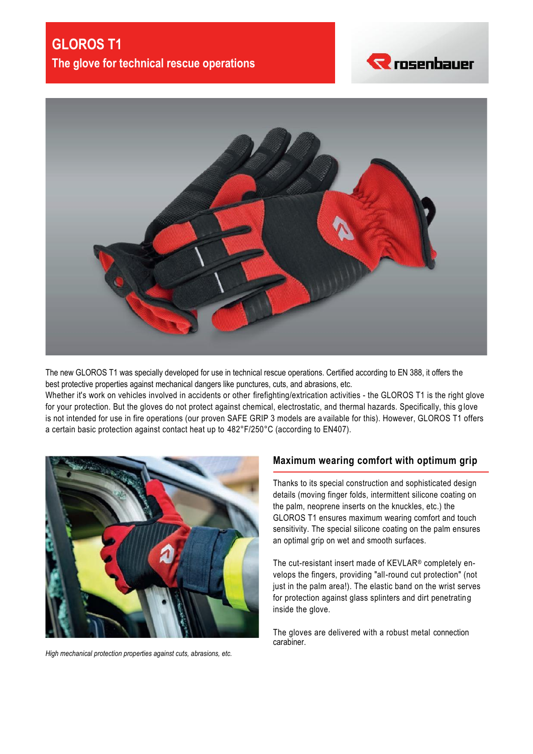



The new GLOROS T1 was specially developed for use in technical rescue operations. Certified according to EN 388, it offers the best protective properties against mechanical dangers like punctures, cuts, and abrasions, etc.

Whether it's work on vehicles involved in accidents or other firefighting/extrication activities - the GLOROS T1 is the right glove for your protection. But the gloves do not protect against chemical, electrostatic, and thermal hazards. Specifically, this g love is not intended for use in fire operations (our proven SAFE GRIP 3 models are available for this). However, GLOROS T1 offers a certain basic protection against contact heat up to 482°F/250°C (according to EN407).



*High mechanical protection properties against cuts, abrasions, etc.*

#### **Maximum wearing comfort with optimum grip**

Thanks to its special construction and sophisticated design details (moving finger folds, intermittent silicone coating on the palm, neoprene inserts on the knuckles, etc.) the GLOROS T1 ensures maximum wearing comfort and touch sensitivity. The special silicone coating on the palm ensures an optimal grip on wet and smooth surfaces.

The cut-resistant insert made of KEVLAR® completely envelops the fingers, providing "all-round cut protection" (not just in the palm area!). The elastic band on the wrist serves for protection against glass splinters and dirt penetrating inside the glove.

The gloves are delivered with a robust metal connection carabiner.